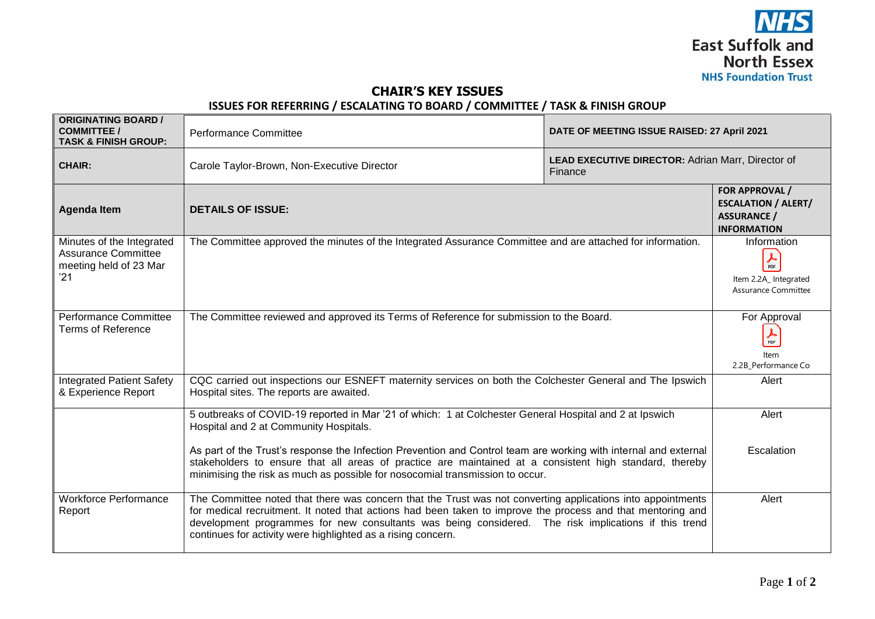

## **CHAIR'S KEY ISSUES**

## **ISSUES FOR REFERRING / ESCALATING TO BOARD / COMMITTEE / TASK & FINISH GROUP**

| <b>ORIGINATING BOARD /</b><br><b>COMMITTEE /</b><br><b>TASK &amp; FINISH GROUP:</b>      | <b>Performance Committee</b>                                                                                                                                                                                                                                                                                                                                                                       | DATE OF MEETING ISSUE RAISED: 27 April 2021                  |                                                                                                                                   |
|------------------------------------------------------------------------------------------|----------------------------------------------------------------------------------------------------------------------------------------------------------------------------------------------------------------------------------------------------------------------------------------------------------------------------------------------------------------------------------------------------|--------------------------------------------------------------|-----------------------------------------------------------------------------------------------------------------------------------|
| <b>CHAIR:</b>                                                                            | Carole Taylor-Brown, Non-Executive Director                                                                                                                                                                                                                                                                                                                                                        | LEAD EXECUTIVE DIRECTOR: Adrian Marr, Director of<br>Finance |                                                                                                                                   |
| <b>Agenda Item</b>                                                                       | <b>DETAILS OF ISSUE:</b>                                                                                                                                                                                                                                                                                                                                                                           |                                                              |                                                                                                                                   |
| Minutes of the Integrated<br><b>Assurance Committee</b><br>meeting held of 23 Mar<br>'21 | The Committee approved the minutes of the Integrated Assurance Committee and are attached for information.                                                                                                                                                                                                                                                                                         |                                                              | Information<br>$\frac{1}{\text{PDF}}$<br>Item 2.2A_ Integrated<br>Assurance Committee                                             |
| <b>Performance Committee</b><br><b>Terms of Reference</b>                                | The Committee reviewed and approved its Terms of Reference for submission to the Board.                                                                                                                                                                                                                                                                                                            |                                                              | For Approval<br>$\frac{1}{\text{PDF}}$<br>Item<br>2.2B_Performance Co                                                             |
| <b>Integrated Patient Safety</b><br>& Experience Report                                  | CQC carried out inspections our ESNEFT maternity services on both the Colchester General and The Ipswich<br>Hospital sites. The reports are awaited.                                                                                                                                                                                                                                               |                                                              | FOR APPROVAL /<br><b>ESCALATION / ALERT/</b><br><b>ASSURANCE /</b><br><b>INFORMATION</b><br>Alert<br>Alert<br>Escalation<br>Alert |
|                                                                                          | 5 outbreaks of COVID-19 reported in Mar '21 of which: 1 at Colchester General Hospital and 2 at Ipswich<br>Hospital and 2 at Community Hospitals.                                                                                                                                                                                                                                                  |                                                              |                                                                                                                                   |
|                                                                                          | As part of the Trust's response the Infection Prevention and Control team are working with internal and external<br>stakeholders to ensure that all areas of practice are maintained at a consistent high standard, thereby<br>minimising the risk as much as possible for nosocomial transmission to occur.                                                                                       |                                                              |                                                                                                                                   |
| <b>Workforce Performance</b><br>Report                                                   | The Committee noted that there was concern that the Trust was not converting applications into appointments<br>for medical recruitment. It noted that actions had been taken to improve the process and that mentoring and<br>development programmes for new consultants was being considered. The risk implications if this trend<br>continues for activity were highlighted as a rising concern. |                                                              |                                                                                                                                   |